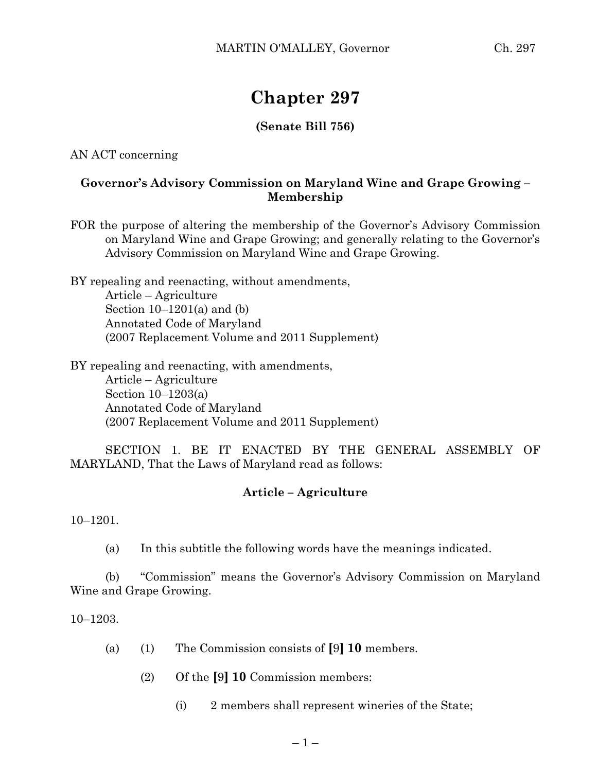# **Chapter 297**

## **(Senate Bill 756)**

AN ACT concerning

### **Governor's Advisory Commission on Maryland Wine and Grape Growing – Membership**

FOR the purpose of altering the membership of the Governor's Advisory Commission on Maryland Wine and Grape Growing; and generally relating to the Governor's Advisory Commission on Maryland Wine and Grape Growing.

BY repealing and reenacting, without amendments, Article – Agriculture Section  $10-1201(a)$  and  $(b)$ Annotated Code of Maryland (2007 Replacement Volume and 2011 Supplement)

BY repealing and reenacting, with amendments, Article – Agriculture Section 10–1203(a) Annotated Code of Maryland (2007 Replacement Volume and 2011 Supplement)

SECTION 1. BE IT ENACTED BY THE GENERAL ASSEMBLY OF MARYLAND, That the Laws of Maryland read as follows:

#### **Article – Agriculture**

10–1201.

(a) In this subtitle the following words have the meanings indicated.

(b) "Commission" means the Governor's Advisory Commission on Maryland Wine and Grape Growing.

10–1203.

- (a) (1) The Commission consists of **[**9**] 10** members.
	- (2) Of the **[**9**] 10** Commission members:
		- (i) 2 members shall represent wineries of the State;